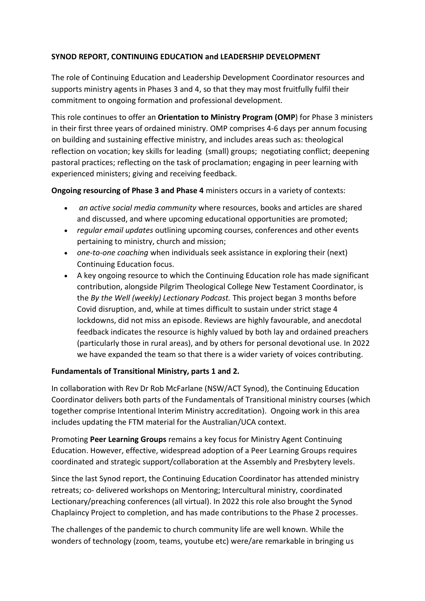## **SYNOD REPORT, CONTINUING EDUCATION and LEADERSHIP DEVELOPMENT**

The role of Continuing Education and Leadership Development Coordinator resources and supports ministry agents in Phases 3 and 4, so that they may most fruitfully fulfil their commitment to ongoing formation and professional development.

This role continues to offer an **Orientation to Ministry Program (OMP**) for Phase 3 ministers in their first three years of ordained ministry. OMP comprises 4-6 days per annum focusing on building and sustaining effective ministry, and includes areas such as: theological reflection on vocation; key skills for leading (small) groups; negotiating conflict; deepening pastoral practices; reflecting on the task of proclamation; engaging in peer learning with experienced ministers; giving and receiving feedback.

**Ongoing resourcing of Phase 3 and Phase 4** ministers occurs in a variety of contexts:

- *an active social media community* where resources, books and articles are shared and discussed, and where upcoming educational opportunities are promoted;
- *regular email updates* outlining upcoming courses, conferences and other events pertaining to ministry, church and mission;
- *one-to-one coaching* when individuals seek assistance in exploring their (next) Continuing Education focus.
- A key ongoing resource to which the Continuing Education role has made significant contribution, alongside Pilgrim Theological College New Testament Coordinator, is the *By the Well (weekly) Lectionary Podcast.* This project began 3 months before Covid disruption, and, while at times difficult to sustain under strict stage 4 lockdowns, did not miss an episode. Reviews are highly favourable, and anecdotal feedback indicates the resource is highly valued by both lay and ordained preachers (particularly those in rural areas), and by others for personal devotional use. In 2022 we have expanded the team so that there is a wider variety of voices contributing.

## **Fundamentals of Transitional Ministry, parts 1 and 2.**

In collaboration with Rev Dr Rob McFarlane (NSW/ACT Synod), the Continuing Education Coordinator delivers both parts of the Fundamentals of Transitional ministry courses (which together comprise Intentional Interim Ministry accreditation). Ongoing work in this area includes updating the FTM material for the Australian/UCA context.

Promoting **Peer Learning Groups** remains a key focus for Ministry Agent Continuing Education. However, effective, widespread adoption of a Peer Learning Groups requires coordinated and strategic support/collaboration at the Assembly and Presbytery levels.

Since the last Synod report, the Continuing Education Coordinator has attended ministry retreats; co- delivered workshops on Mentoring; Intercultural ministry, coordinated Lectionary/preaching conferences (all virtual). In 2022 this role also brought the Synod Chaplaincy Project to completion, and has made contributions to the Phase 2 processes.

The challenges of the pandemic to church community life are well known. While the wonders of technology (zoom, teams, youtube etc) were/are remarkable in bringing us